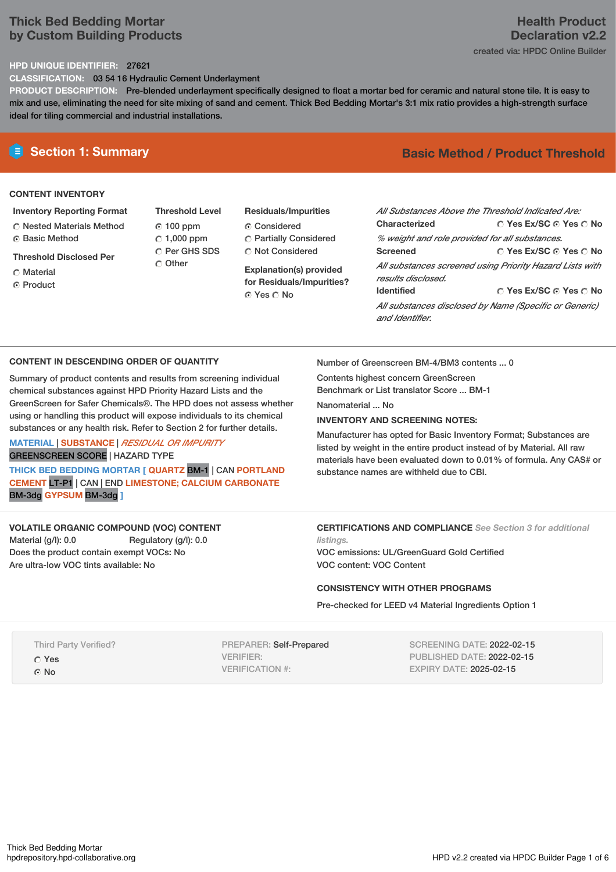# **Thick Bed Bedding Mortar by Custom Building Products**

# **HPD UNIQUE IDENTIFIER:** 27621

**CLASSIFICATION:** 03 54 16 Hydraulic Cement Underlayment

**PRODUCT DESCRIPTION:** Pre-blended underlayment specifically designed to float a mortar bed for ceramic and natural stone tile. It is easy to mix and use, eliminating the need for site mixing of sand and cement. Thick Bed Bedding Mortar's 3:1 mix ratio provides a high-strength surface ideal for tiling commercial and industrial installations.

# **CONTENT INVENTORY**

**Inventory Reporting Format**

Nested Materials Method **C** Basic Method

**Threshold Disclosed Per**

- Material
- **C** Product
- **Threshold Level** 100 ppm  $C$  1,000 ppm C Per GHS SDS Other
- **Residuals/Impurities** Considered Partially Considered Not Considered

**Explanation(s) provided for Residuals/Impurities?** © Yes ∩ No

# **E** Section 1: Summary **Basic Method / Product Threshold**

| All Substances Above the Threshold Indicated Are:<br>Characterized             | ∩ Yes Ex/SC ∩ Yes ∩ No |  |  |  |  |  |
|--------------------------------------------------------------------------------|------------------------|--|--|--|--|--|
| % weight and role provided for all substances.                                 |                        |  |  |  |  |  |
| <b>Screened</b>                                                                | ∩ Yes Ex/SC ∩ Yes ∩ No |  |  |  |  |  |
| All substances screened using Priority Hazard Lists with<br>results disclosed. |                        |  |  |  |  |  |
| <b>Identified</b>                                                              | ∩ Yes Ex/SC ∩ Yes ∩ No |  |  |  |  |  |
| All substances disclosed by Name (Specific or Generic)<br>and Identifier.      |                        |  |  |  |  |  |

## **CONTENT IN DESCENDING ORDER OF QUANTITY**

Summary of product contents and results from screening individual chemical substances against HPD Priority Hazard Lists and the GreenScreen for Safer Chemicals®. The HPD does not assess whether using or handling this product will expose individuals to its chemical substances or any health risk. Refer to Section 2 for further details.

#### **MATERIAL** | **SUBSTANCE** | *RESIDUAL OR IMPURITY* GREENSCREEN SCORE | HAZARD TYPE

**THICK BED BEDDING MORTAR [ QUARTZ** BM-1 | CAN **PORTLAND CEMENT** LT-P1 | CAN | END **LIMESTONE; CALCIUM CARBONATE** BM-3dg **GYPSUM** BM-3dg **]**

## **VOLATILE ORGANIC COMPOUND (VOC) CONTENT**

Material (g/l): 0.0 Regulatory (g/l): 0.0 Does the product contain exempt VOCs: No Are ultra-low VOC tints available: No

Number of Greenscreen BM-4/BM3 contents ... 0

Contents highest concern GreenScreen Benchmark or List translator Score ... BM-1

Nanomaterial No.

## **INVENTORY AND SCREENING NOTES:**

Manufacturer has opted for Basic Inventory Format; Substances are listed by weight in the entire product instead of by Material. All raw materials have been evaluated down to 0.01% of formula. Any CAS# or substance names are withheld due to CBI.

# **CERTIFICATIONS AND COMPLIANCE** *See Section 3 for additional*

*listings.* VOC emissions: UL/GreenGuard Gold Certified VOC content: VOC Content

#### **CONSISTENCY WITH OTHER PROGRAMS**

Pre-checked for LEED v4 Material Ingredients Option 1

#### Third Party Verified?

Yes

© No

PREPARER: Self-Prepared VERIFIER: VERIFICATION #:

SCREENING DATE: 2022-02-15 PUBLISHED DATE: 2022-02-15 EXPIRY DATE: 2025-02-15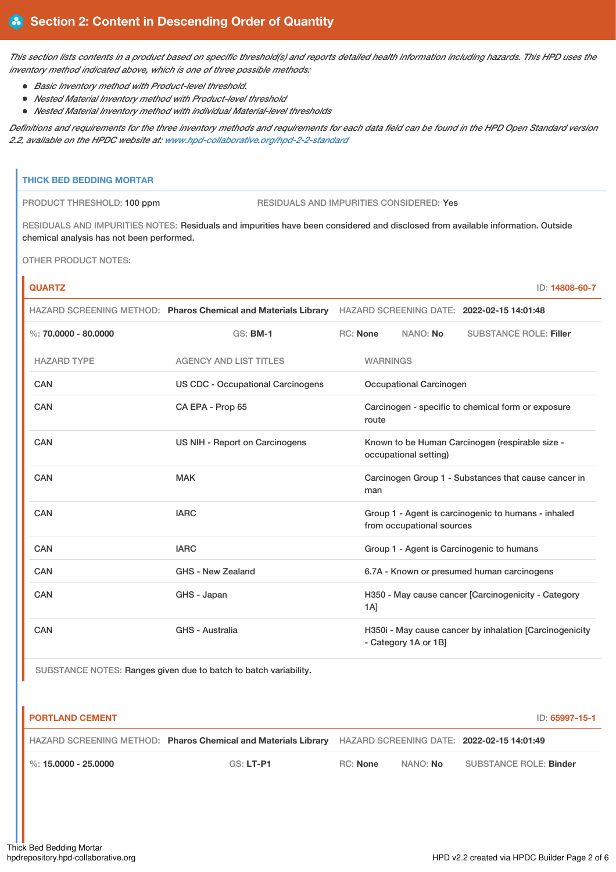This section lists contents in a product based on specific threshold(s) and reports detailed health information including hazards. This HPD uses the *inventory method indicated above, which is one of three possible methods:*

- *Basic Inventory method with Product-level threshold.*
- *Nested Material Inventory method with Product-level threshold*
- *Nested Material Inventory method with individual Material-level thresholds*

Definitions and requirements for the three inventory methods and requirements for each data field can be found in the HPD Open Standard version *2.2, available on the HPDC website at: [www.hpd-collaborative.org/hpd-2-2-standard](https://www.hpd-collaborative.org/hpd-2-2-standard)*

## **THICK BED BEDDING MORTAR**

PRODUCT THRESHOLD: 100 ppm RESIDUALS AND IMPURITIES CONSIDERED: Yes

RESIDUALS AND IMPURITIES NOTES: Residuals and impurities have been considered and disclosed from available information. Outside chemical analysis has not been performed.

OTHER PRODUCT NOTES:

ń

| <b>QUARTZ</b>          |                                                                                                           |                                                             |                                                                          |                           | ID: 14808-60-7                                          |  |
|------------------------|-----------------------------------------------------------------------------------------------------------|-------------------------------------------------------------|--------------------------------------------------------------------------|---------------------------|---------------------------------------------------------|--|
|                        | HAZARD SCREENING METHOD: Pharos Chemical and Materials Library HAZARD SCREENING DATE: 2022-02-15 14:01:48 |                                                             |                                                                          |                           |                                                         |  |
| %: $70.0000 - 80.0000$ | <b>GS: BM-1</b>                                                                                           |                                                             | RC: None                                                                 | NANO: No                  | <b>SUBSTANCE ROLE: Filler</b>                           |  |
| <b>HAZARD TYPE</b>     | <b>AGENCY AND LIST TITLES</b>                                                                             |                                                             | <b>WARNINGS</b>                                                          |                           |                                                         |  |
| <b>CAN</b>             | <b>US CDC - Occupational Carcinogens</b>                                                                  |                                                             | Occupational Carcinogen                                                  |                           |                                                         |  |
| <b>CAN</b>             | CA EPA - Prop 65                                                                                          | Carcinogen - specific to chemical form or exposure<br>route |                                                                          |                           |                                                         |  |
| CAN                    | US NIH - Report on Carcinogens                                                                            |                                                             | Known to be Human Carcinogen (respirable size -<br>occupational setting) |                           |                                                         |  |
| CAN                    | <b>MAK</b>                                                                                                |                                                             | Carcinogen Group 1 - Substances that cause cancer in<br>man              |                           |                                                         |  |
| <b>CAN</b>             | <b>IARC</b>                                                                                               |                                                             |                                                                          | from occupational sources | Group 1 - Agent is carcinogenic to humans - inhaled     |  |
| <b>CAN</b>             | <b>IARC</b>                                                                                               |                                                             |                                                                          |                           | Group 1 - Agent is Carcinogenic to humans               |  |
| <b>CAN</b>             | GHS - New Zealand                                                                                         |                                                             | 6.7A - Known or presumed human carcinogens                               |                           |                                                         |  |
| <b>CAN</b>             | GHS - Japan                                                                                               |                                                             | 1A]                                                                      |                           | H350 - May cause cancer [Carcinogenicity - Category     |  |
| <b>CAN</b>             | GHS - Australia                                                                                           |                                                             |                                                                          | - Category 1A or 1B]      | H350i - May cause cancer by inhalation [Carcinogenicity |  |

SUBSTANCE NOTES: Ranges given due to batch to batch variability.

| <b>PORTLAND CEMENT</b><br>ID: 65997-15-1 |                                                                |          |                 |                                            |  |
|------------------------------------------|----------------------------------------------------------------|----------|-----------------|--------------------------------------------|--|
|                                          | HAZARD SCREENING METHOD: Pharos Chemical and Materials Library |          |                 | HAZARD SCREENING DATE: 2022-02-15 14:01:49 |  |
| %: 15.0000 - 25.0000                     | $GS: LT- P1$                                                   | RC: None | NANO: <b>No</b> | SUBSTANCE ROLE: Binder                     |  |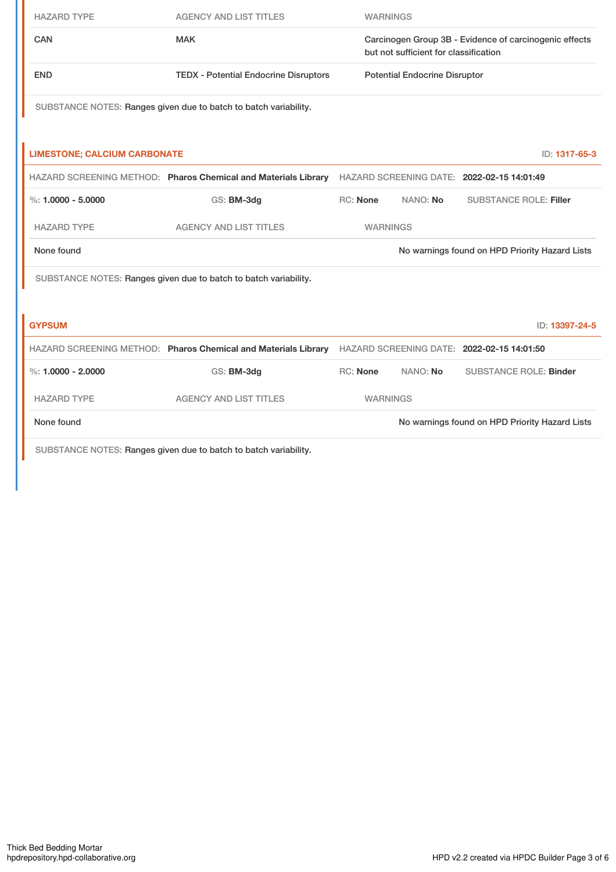| <b>HAZARD TYPE</b>                  | <b>AGENCY AND LIST TITLES</b>                                                                             |                                                                                                 | <b>WARNINGS</b>                      |                                                |  |
|-------------------------------------|-----------------------------------------------------------------------------------------------------------|-------------------------------------------------------------------------------------------------|--------------------------------------|------------------------------------------------|--|
| <b>CAN</b><br><b>MAK</b>            |                                                                                                           | Carcinogen Group 3B - Evidence of carcinogenic effects<br>but not sufficient for classification |                                      |                                                |  |
| <b>END</b>                          | <b>TEDX - Potential Endocrine Disruptors</b>                                                              |                                                                                                 | <b>Potential Endocrine Disruptor</b> |                                                |  |
|                                     | SUBSTANCE NOTES: Ranges given due to batch to batch variability.                                          |                                                                                                 |                                      |                                                |  |
| <b>LIMESTONE; CALCIUM CARBONATE</b> |                                                                                                           |                                                                                                 |                                      | ID: 1317-65-3                                  |  |
|                                     | HAZARD SCREENING METHOD: Pharos Chemical and Materials Library HAZARD SCREENING DATE: 2022-02-15 14:01:49 |                                                                                                 |                                      |                                                |  |
| $\%$ : 1.0000 - 5.0000              | GS: BM-3dg                                                                                                | <b>RC: None</b>                                                                                 | NANO: No                             | <b>SUBSTANCE ROLE: Filler</b>                  |  |
| <b>HAZARD TYPE</b>                  | <b>AGENCY AND LIST TITLES</b>                                                                             |                                                                                                 | <b>WARNINGS</b>                      |                                                |  |
| None found                          |                                                                                                           |                                                                                                 |                                      | No warnings found on HPD Priority Hazard Lists |  |
|                                     | SUBSTANCE NOTES: Ranges given due to batch to batch variability.                                          |                                                                                                 |                                      |                                                |  |
|                                     |                                                                                                           |                                                                                                 |                                      |                                                |  |
| <b>GYPSUM</b>                       |                                                                                                           |                                                                                                 |                                      | ID: 13397-24-5                                 |  |
|                                     | HAZARD SCREENING METHOD: Pharos Chemical and Materials Library                                            | HAZARD SCREENING DATE: 2022-02-15 14:01:50                                                      |                                      |                                                |  |
| %: $1.0000 - 2.0000$                | GS: BM-3dg                                                                                                | <b>RC: None</b>                                                                                 | NANO: No                             | <b>SUBSTANCE ROLE: Binder</b>                  |  |
| <b>HAZARD TYPE</b>                  | <b>AGENCY AND LIST TITLES</b>                                                                             |                                                                                                 | <b>WARNINGS</b>                      |                                                |  |
| None found                          |                                                                                                           |                                                                                                 |                                      | No warnings found on HPD Priority Hazard Lists |  |
|                                     | SUBSTANCE NOTES: Ranges given due to batch to batch variability.                                          |                                                                                                 |                                      |                                                |  |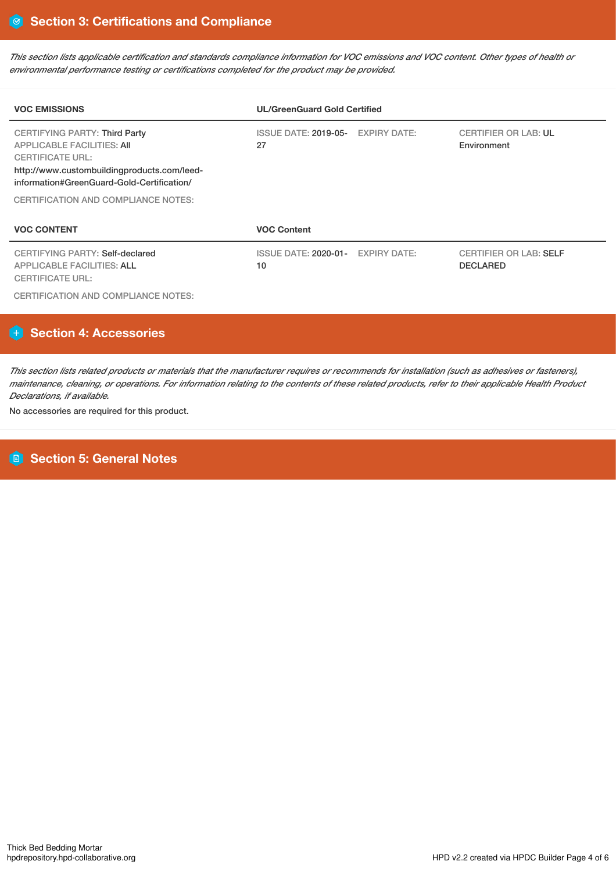This section lists applicable certification and standards compliance information for VOC emissions and VOC content. Other types of health or *environmental performance testing or certifications completed for the product may be provided.*

| <b>VOC EMISSIONS</b>                                                                                                                                                                                                                     | <b>UL/GreenGuard Gold Certified</b>     |  |                                                  |  |  |
|------------------------------------------------------------------------------------------------------------------------------------------------------------------------------------------------------------------------------------------|-----------------------------------------|--|--------------------------------------------------|--|--|
| <b>CERTIFYING PARTY: Third Party</b><br><b>APPLICABLE FACILITIES: AII</b><br><b>CERTIFICATE URL:</b><br>http://www.custombuildingproducts.com/leed-<br>information#GreenGuard-Gold-Certification/<br>CERTIFICATION AND COMPLIANCE NOTES: | ISSUE DATE: 2019-05- EXPIRY DATE:<br>27 |  | <b>CERTIFIER OR LAB: UL</b><br>Environment       |  |  |
| <b>VOC CONTENT</b>                                                                                                                                                                                                                       | <b>VOC Content</b>                      |  |                                                  |  |  |
| CERTIFYING PARTY: Self-declared<br><b>APPLICABLE FACILITIES: ALL</b><br><b>CERTIFICATE URL:</b>                                                                                                                                          | ISSUE DATE: 2020-01- EXPIRY DATE:<br>10 |  | <b>CERTIFIER OR LAB: SELF</b><br><b>DECLARED</b> |  |  |
| CERTIFICATION AND COMPLIANCE NOTES:                                                                                                                                                                                                      |                                         |  |                                                  |  |  |

# **Section 4: Accessories**

This section lists related products or materials that the manufacturer requires or recommends for installation (such as adhesives or fasteners), maintenance, cleaning, or operations. For information relating to the contents of these related products, refer to their applicable Health Product *Declarations, if available.*

No accessories are required for this product.

# **Section 5: General Notes**